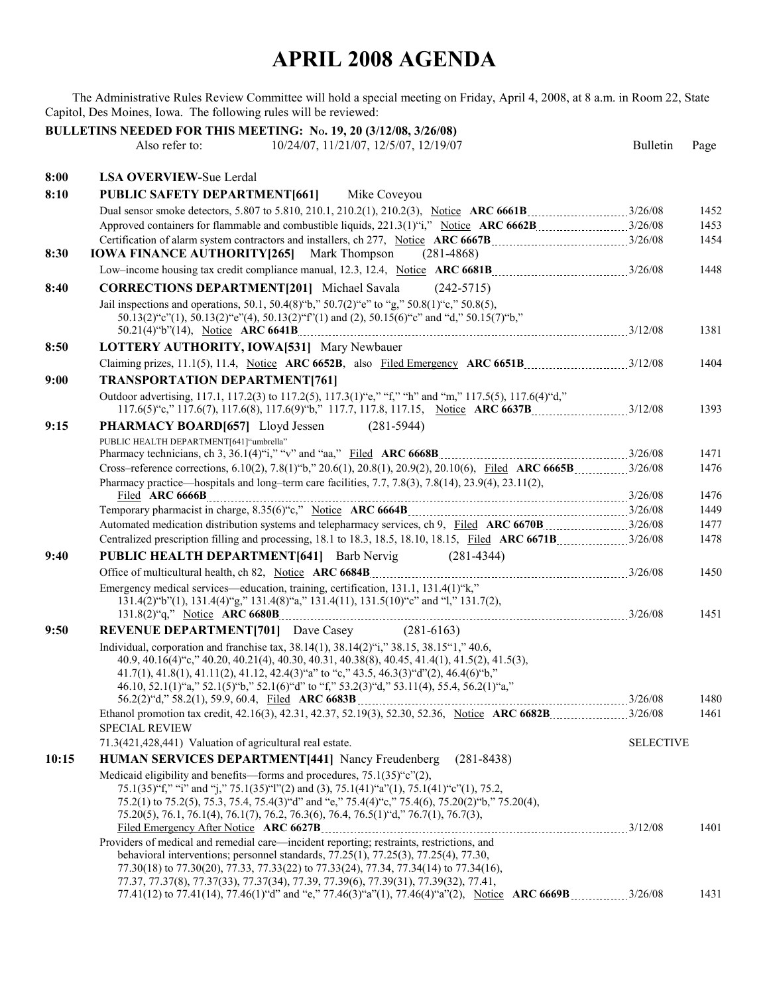## **APRIL 2008 AGENDA**

The Administrative Rules Review Committee will hold a special meeting on Friday, April 4, 2008, at 8 a.m. in Room 22, State Capitol, Des Moines, Iowa. The following rules will be reviewed:

|       | BULLETINS NEEDED FOR THIS MEETING: No. 19, 20 (3/12/08, 3/26/08)                                                                                                                                                                                                  |                  |              |
|-------|-------------------------------------------------------------------------------------------------------------------------------------------------------------------------------------------------------------------------------------------------------------------|------------------|--------------|
|       | 10/24/07, 11/21/07, 12/5/07, 12/19/07<br>Also refer to:                                                                                                                                                                                                           | <b>Bulletin</b>  | Page         |
|       |                                                                                                                                                                                                                                                                   |                  |              |
| 8:00  | <b>LSA OVERVIEW-Sue Lerdal</b>                                                                                                                                                                                                                                    |                  |              |
| 8:10  | <b>PUBLIC SAFETY DEPARTMENT[661]</b><br>Mike Coveyou                                                                                                                                                                                                              |                  |              |
|       |                                                                                                                                                                                                                                                                   |                  | 1452         |
|       |                                                                                                                                                                                                                                                                   |                  | 1453         |
|       |                                                                                                                                                                                                                                                                   |                  | 1454         |
| 8:30  | <b>IOWA FINANCE AUTHORITY [265]</b> Mark Thompson (281-4868)                                                                                                                                                                                                      |                  |              |
|       |                                                                                                                                                                                                                                                                   |                  | 1448         |
| 8:40  | <b>CORRECTIONS DEPARTMENT[201]</b> Michael Savala (242-5715)                                                                                                                                                                                                      |                  |              |
|       | Jail inspections and operations, 50.1, 50.4(8) "b," 50.7(2) "e" to "g," 50.8(1) "c," 50.8(5),                                                                                                                                                                     |                  |              |
|       | 50.13(2)"c"(1), 50.13(2)"e"(4), 50.13(2)"f"(1) and (2), 50.15(6)"c" and "d," 50.15(7)"b,"                                                                                                                                                                         |                  | 1381         |
| 8:50  | LOTTERY AUTHORITY, IOWA[531] Mary Newbauer                                                                                                                                                                                                                        |                  |              |
|       |                                                                                                                                                                                                                                                                   |                  | 1404         |
| 9:00  | <b>TRANSPORTATION DEPARTMENT[761]</b>                                                                                                                                                                                                                             |                  |              |
|       | Outdoor advertising, 117.1, 117.2(3) to 117.2(5), 117.3(1) "e," "f," "h" and "m," 117.5(5), 117.6(4) "d,"                                                                                                                                                         |                  |              |
|       |                                                                                                                                                                                                                                                                   |                  | 1393         |
| 9:15  | <b>PHARMACY BOARD[657]</b> Lloyd Jessen (281-5944)                                                                                                                                                                                                                |                  |              |
|       | PUBLIC HEALTH DEPARTMENT[641] "umbrella"                                                                                                                                                                                                                          |                  |              |
|       |                                                                                                                                                                                                                                                                   |                  | 1471         |
|       |                                                                                                                                                                                                                                                                   |                  | 1476         |
|       | Pharmacy practice—hospitals and long-term care facilities, $7.7$ , $7.8(3)$ , $7.8(14)$ , $23.9(4)$ , $23.11(2)$ ,                                                                                                                                                |                  |              |
|       |                                                                                                                                                                                                                                                                   |                  | 1476<br>1449 |
|       |                                                                                                                                                                                                                                                                   |                  | 1477         |
|       | Centralized prescription filling and processing, 18.1 to 18.3, 18.5, 18.10, 18.15, Filed ARC 6671B 3/26/08                                                                                                                                                        |                  | 1478         |
| 9:40  | <b>PUBLIC HEALTH DEPARTMENT[641]</b> Barb Nervig (281-4344)                                                                                                                                                                                                       |                  |              |
|       |                                                                                                                                                                                                                                                                   |                  | 1450         |
|       | Emergency medical services—education, training, certification, 131.1, 131.4(1)"k,"                                                                                                                                                                                |                  |              |
|       | 131.4(2)"b"(1), 131.4(4)"g," 131.4(8)"a," 131.4(11), 131.5(10)"c" and "1," 131.7(2),                                                                                                                                                                              |                  |              |
|       |                                                                                                                                                                                                                                                                   |                  | 1451         |
| 9:50  | <b>REVENUE DEPARTMENT[701]</b> Dave Casey (281-6163)                                                                                                                                                                                                              |                  |              |
|       | Individual, corporation and franchise tax, 38.14(1), 38.14(2)"i," 38.15, 38.15"1," 40.6,                                                                                                                                                                          |                  |              |
|       | 40.9, 40.16(4) "c," 40.20, 40.21(4), 40.30, 40.31, 40.38(8), 40.45, 41.4(1), 41.5(2), 41.5(3),<br>$41.7(1)$ , $41.8(1)$ , $41.11(2)$ , $41.12$ , $42.4(3)$ " and $\mathfrak{e}$ " $\mathfrak{e}$ ," $43.5$ , $46.3(3)$ " d" $(2)$ , $46.4(6)$ " $\mathfrak{b}$ ," |                  |              |
|       | 46.10, 52.1(1)"a," 52.1(5)"b," 52.1(6)"d" to "f," 53.2(3)"d," 53.11(4), 55.4, 56.2(1)"a,"                                                                                                                                                                         |                  |              |
|       |                                                                                                                                                                                                                                                                   |                  | 1480         |
|       | Ethanol promotion tax credit, 42.16(3), 42.31, 42.37, 52.19(3), 52.30, 52.36, Notice ARC 6682B 326/08                                                                                                                                                             |                  | 1461         |
|       | <b>SPECIAL REVIEW</b>                                                                                                                                                                                                                                             |                  |              |
|       | 71.3(421,428,441) Valuation of agricultural real estate.                                                                                                                                                                                                          | <b>SELECTIVE</b> |              |
| 10:15 | HUMAN SERVICES DEPARTMENT[441] Nancy Freudenberg<br>$(281 - 8438)$                                                                                                                                                                                                |                  |              |
|       | Medicaid eligibility and benefits—forms and procedures, $75.1(35)$ "c" $(2)$ ,<br>75.1(35)"f," "i" and "j," 75.1(35)"1"(2) and (3), 75.1(41)"a"(1), 75.1(41)"c"(1), 75.2,                                                                                         |                  |              |
|       | 75.2(1) to 75.2(5), 75.3, 75.4, 75.4(3) "d" and "e," 75.4(4) "c," 75.4(6), 75.20(2) "b," 75.20(4),                                                                                                                                                                |                  |              |
|       | 75.20(5), 76.1, 76.1(4), 76.1(7), 76.2, 76.3(6), 76.4, 76.5(1) "d," 76.7(1), 76.7(3),                                                                                                                                                                             |                  |              |
|       |                                                                                                                                                                                                                                                                   |                  | 1401         |
|       | Providers of medical and remedial care—incident reporting; restraints, restrictions, and                                                                                                                                                                          |                  |              |
|       | behavioral interventions; personnel standards, $77.25(1)$ , $77.25(3)$ , $77.25(4)$ , $77.30$ ,<br>77.30(18) to 77.30(20), 77.33, 77.33(22) to 77.33(24), 77.34, 77.34(14) to 77.34(16),                                                                          |                  |              |
|       | 77.37, 77.37(8), 77.37(33), 77.37(34), 77.39, 77.39(6), 77.39(31), 77.39(32), 77.41,                                                                                                                                                                              |                  |              |
|       | 77.41(12) to 77.41(14), 77.46(1) "d" and "e," 77.46(3) "a"(1), 77.46(4) "a"(2), Notice ARC 6669B3/26/08                                                                                                                                                           |                  | 1431         |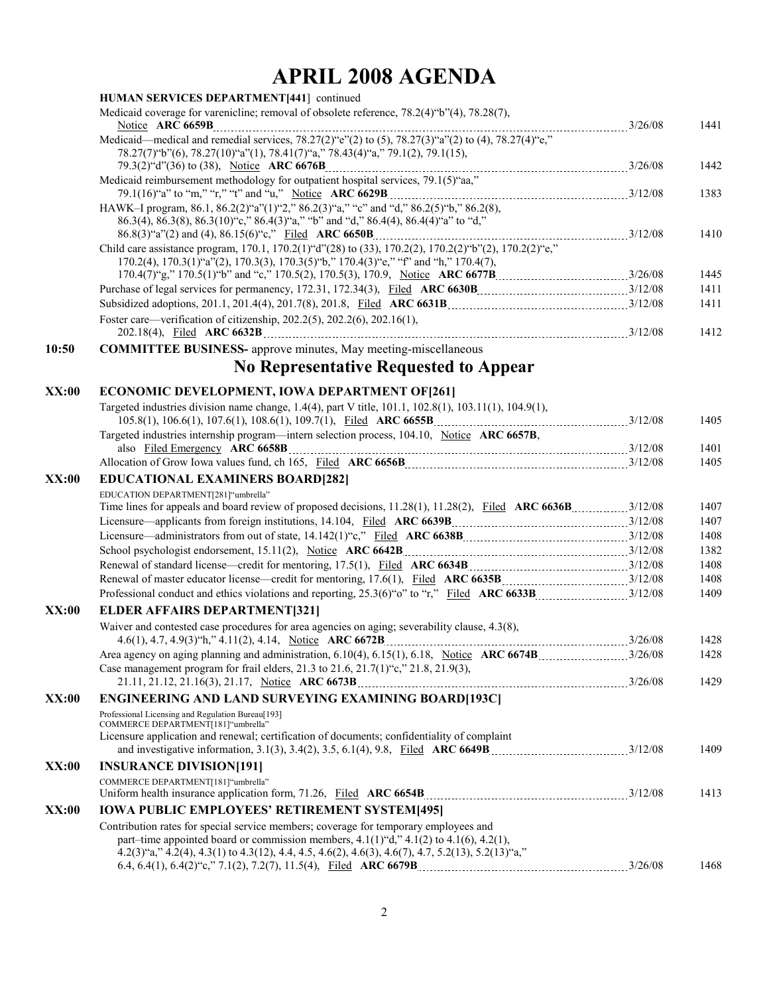## **APRIL 2008 AGENDA**

|       | HUMAN SERVICES DEPARTMENT[441] continued                                                                                                                                                                                                                                                        |              |
|-------|-------------------------------------------------------------------------------------------------------------------------------------------------------------------------------------------------------------------------------------------------------------------------------------------------|--------------|
|       | Medicaid coverage for varenicline; removal of obsolete reference, 78.2(4)"b"(4), 78.28(7),                                                                                                                                                                                                      | 1441         |
|       | Medicaid—medical and remedial services, $78.27(2)$ "e"(2) to (5), $78.27(3)$ "a"(2) to (4), $78.27(4)$ "e,"                                                                                                                                                                                     |              |
|       | 78.27(7)"b"(6), 78.27(10)"a"(1), 78.41(7)"a," 78.43(4)"a," 79.1(2), 79.1(15),<br>$79.3(2)^{4}d^{4}(36)$ to (38), Notice ARC 6676B<br>Medicaid reimbursement methodology for outpatient hospital services, 79.1(5) aa,"                                                                          | 1442         |
|       |                                                                                                                                                                                                                                                                                                 | 1383         |
|       | HAWK-I program, 86.1, 86.2(2)"a"(1)"2," 86.2(3)"a," "c" and "d," 86.2(5)"b," 86.2(8),<br>86.3(4), 86.3(8), 86.3(10) "c," 86.4(3) "a," "b" and "d," 86.4(4), 86.4(4) "a" to "d,"                                                                                                                 |              |
|       | Child care assistance program, 170.1, 170.2(1) "d"(28) to (33), 170.2(2), 170.2(2) "b"(2), 170.2(2) "e,"<br>170.2(4), 170.3(1)"a"(2), 170.3(3), 170.3(5)"b," 170.4(3)"e," "f" and "h," 170.4(7),                                                                                                | 1410         |
|       |                                                                                                                                                                                                                                                                                                 | 1445         |
|       |                                                                                                                                                                                                                                                                                                 | 1411         |
|       |                                                                                                                                                                                                                                                                                                 | 1411         |
|       | Foster care—verification of citizenship, 202.2(5), 202.2(6), 202.16(1),                                                                                                                                                                                                                         | 1412         |
| 10:50 | <b>COMMITTEE BUSINESS-</b> approve minutes, May meeting-miscellaneous                                                                                                                                                                                                                           |              |
|       | <b>No Representative Requested to Appear</b>                                                                                                                                                                                                                                                    |              |
| XX:00 | <b>ECONOMIC DEVELOPMENT, IOWA DEPARTMENT OF [261]</b>                                                                                                                                                                                                                                           |              |
|       | Targeted industries division name change, 1.4(4), part V title, 101.1, 102.8(1), 103.11(1), 104.9(1),                                                                                                                                                                                           | 1405         |
|       | Targeted industries internship program—intern selection process, 104.10, Notice ARC 6657B,                                                                                                                                                                                                      | 1401         |
|       | Allocation of Grow Iowa values fund, ch 165, Filed ARC 6656B [11][11][200] Allocation of Grow Iowa values fund, ch 165, Filed ARC 6656B [11][2008] Allocation of Grow Iowa values fund, ch 165, Filed ARC 6656B [11][2008] All                                                                  | 1405         |
| XX:00 | <b>EDUCATIONAL EXAMINERS BOARD[282]</b>                                                                                                                                                                                                                                                         |              |
|       | EDUCATION DEPARTMENT[281]"umbrella"                                                                                                                                                                                                                                                             |              |
|       |                                                                                                                                                                                                                                                                                                 | 1407<br>1407 |
|       |                                                                                                                                                                                                                                                                                                 | 1408         |
|       | School psychologist endorsement, 15.11(2), Notice ARC 6642B<br>12/08                                                                                                                                                                                                                            | 1382         |
|       |                                                                                                                                                                                                                                                                                                 | 1408         |
|       |                                                                                                                                                                                                                                                                                                 | 1408         |
|       |                                                                                                                                                                                                                                                                                                 | 1409         |
| XX:00 | <b>ELDER AFFAIRS DEPARTMENT[321]</b>                                                                                                                                                                                                                                                            |              |
|       | Waiver and contested case procedures for area agencies on aging; severability clause, 4.3(8),                                                                                                                                                                                                   | 1428         |
|       |                                                                                                                                                                                                                                                                                                 | 1428         |
|       | Case management program for frail elders, 21.3 to 21.6, 21.7(1) "c," 21.8, 21.9(3),                                                                                                                                                                                                             | 1429         |
| XX:00 | ENGINEERING AND LAND SURVEYING EXAMINING BOARD[193C]                                                                                                                                                                                                                                            |              |
|       | Professional Licensing and Regulation Bureau[193]<br>COMMERCE DEPARTMENT[181]"umbrella"                                                                                                                                                                                                         |              |
|       | Licensure application and renewal; certification of documents; confidentiality of complaint                                                                                                                                                                                                     | 1409         |
| XX:00 | <b>INSURANCE DIVISION[191]</b>                                                                                                                                                                                                                                                                  |              |
|       | COMMERCE DEPARTMENT[181]"umbrella"                                                                                                                                                                                                                                                              | 1413         |
| XX:00 | <b>IOWA PUBLIC EMPLOYEES' RETIREMENT SYSTEM[495]</b>                                                                                                                                                                                                                                            |              |
|       | Contribution rates for special service members; coverage for temporary employees and<br>part-time appointed board or commission members, $4.1(1)$ "d," $4.1(2)$ to $4.1(6)$ , $4.2(1)$ ,<br>4.2(3) "a," 4.2(4), 4.3(1) to 4.3(12), 4.4, 4.5, 4.6(2), 4.6(3), 4.6(7), 4.7, 5.2(13), 5.2(13) "a," |              |
|       |                                                                                                                                                                                                                                                                                                 | 1468         |